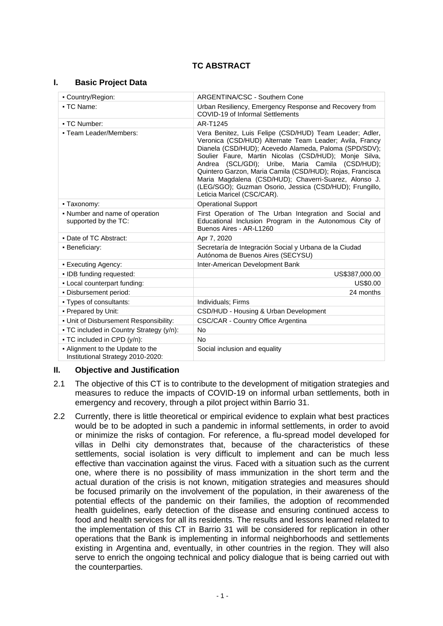# **TC ABSTRACT**

### **I. Basic Project Data**

| - Country/Region:                                                     | ARGENTINA/CSC - Southern Cone                                                                                                                                                                                                                                                                                                                                                                                                                                                                           |  |  |
|-----------------------------------------------------------------------|---------------------------------------------------------------------------------------------------------------------------------------------------------------------------------------------------------------------------------------------------------------------------------------------------------------------------------------------------------------------------------------------------------------------------------------------------------------------------------------------------------|--|--|
| • TC Name:                                                            | Urban Resiliency, Emergency Response and Recovery from<br>COVID-19 of Informal Settlements                                                                                                                                                                                                                                                                                                                                                                                                              |  |  |
| • TC Number:                                                          | AR-T1245                                                                                                                                                                                                                                                                                                                                                                                                                                                                                                |  |  |
| - Team Leader/Members:                                                | Vera Benitez, Luis Felipe (CSD/HUD) Team Leader; Adler,<br>Veronica (CSD/HUD) Alternate Team Leader; Avila, Francy<br>Dianela (CSD/HUD); Acevedo Alameda, Paloma (SPD/SDV);<br>Soulier Faure, Martin Nicolas (CSD/HUD); Monje Silva,<br>Andrea (SCL/GDI); Uribe, Maria Camila (CSD/HUD);<br>Quintero Garzon, Maria Camila (CSD/HUD); Rojas, Francisca<br>Maria Magdalena (CSD/HUD); Chaverri-Suarez, Alonso J.<br>(LEG/SGO); Guzman Osorio, Jessica (CSD/HUD); Frungillo,<br>Leticia Maricel (CSC/CAR). |  |  |
| • Taxonomy:                                                           | <b>Operational Support</b>                                                                                                                                                                                                                                                                                                                                                                                                                                                                              |  |  |
| • Number and name of operation<br>supported by the TC:                | First Operation of The Urban Integration and Social and<br>Educational Inclusion Program in the Autonomous City of<br>Buenos Aires - AR-L1260                                                                                                                                                                                                                                                                                                                                                           |  |  |
| • Date of TC Abstract:                                                | Apr 7, 2020                                                                                                                                                                                                                                                                                                                                                                                                                                                                                             |  |  |
| • Beneficiary:                                                        | Secretaría de Integración Social y Urbana de la Ciudad<br>Autónoma de Buenos Aires (SECYSU)                                                                                                                                                                                                                                                                                                                                                                                                             |  |  |
| • Executing Agency:                                                   | Inter-American Development Bank                                                                                                                                                                                                                                                                                                                                                                                                                                                                         |  |  |
| . IDB funding requested:                                              | US\$387,000.00                                                                                                                                                                                                                                                                                                                                                                                                                                                                                          |  |  |
| - Local counterpart funding:                                          | US\$0.00                                                                                                                                                                                                                                                                                                                                                                                                                                                                                                |  |  |
| · Disbursement period:                                                | 24 months                                                                                                                                                                                                                                                                                                                                                                                                                                                                                               |  |  |
| - Types of consultants:                                               | Individuals; Firms                                                                                                                                                                                                                                                                                                                                                                                                                                                                                      |  |  |
| • Prepared by Unit:                                                   | CSD/HUD - Housing & Urban Development                                                                                                                                                                                                                                                                                                                                                                                                                                                                   |  |  |
| - Unit of Disbursement Responsibility:                                | CSC/CAR - Country Office Argentina                                                                                                                                                                                                                                                                                                                                                                                                                                                                      |  |  |
| - TC included in Country Strategy (y/n):                              | <b>No</b>                                                                                                                                                                                                                                                                                                                                                                                                                                                                                               |  |  |
| - TC included in CPD (y/n):                                           | No                                                                                                                                                                                                                                                                                                                                                                                                                                                                                                      |  |  |
| - Alignment to the Update to the<br>Institutional Strategy 2010-2020: | Social inclusion and equality                                                                                                                                                                                                                                                                                                                                                                                                                                                                           |  |  |

## **II. Objective and Justification**

- 2.1 The objective of this CT is to contribute to the development of mitigation strategies and measures to reduce the impacts of COVID-19 on informal urban settlements, both in emergency and recovery, through a pilot project within Barrio 31.
- 2.2 Currently, there is little theoretical or empirical evidence to explain what best practices would be to be adopted in such a pandemic in informal settlements, in order to avoid or minimize the risks of contagion. For reference, a flu-spread model developed for villas in Delhi city demonstrates that, because of the characteristics of these settlements, social isolation is very difficult to implement and can be much less effective than vaccination against the virus. Faced with a situation such as the current one, where there is no possibility of mass immunization in the short term and the actual duration of the crisis is not known, mitigation strategies and measures should be focused primarily on the involvement of the population, in their awareness of the potential effects of the pandemic on their families, the adoption of recommended health guidelines, early detection of the disease and ensuring continued access to food and health services for all its residents. The results and lessons learned related to the implementation of this CT in Barrio 31 will be considered for replication in other operations that the Bank is implementing in informal neighborhoods and settlements existing in Argentina and, eventually, in other countries in the region. They will also serve to enrich the ongoing technical and policy dialogue that is being carried out with the counterparties.